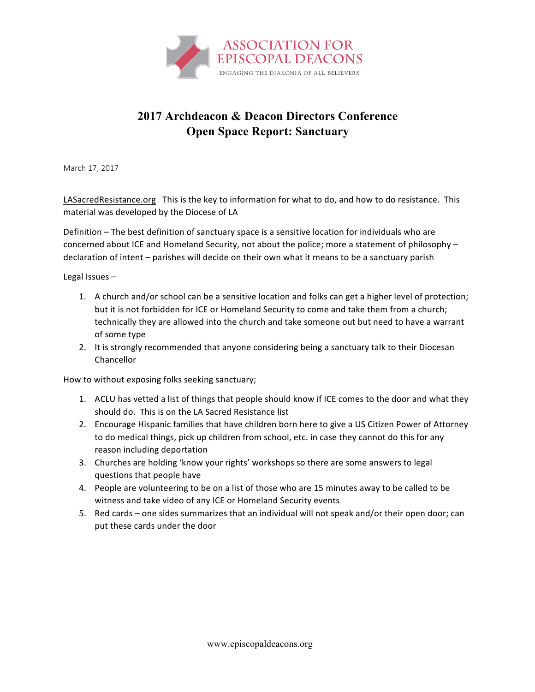

## **2017 Archdeacon & Deacon Directors Conference Open Space Report: Sanctuary**

March 17, 2017

LASacredResistance.org This is the key to information for what to do, and how to do resistance. This material was developed by the Diocese of LA

Definition – The best definition of sanctuary space is a sensitive location for individuals who are concerned about ICE and Homeland Security, not about the police; more a statement of philosophy declaration of intent – parishes will decide on their own what it means to be a sanctuary parish

Legal Issues  $-$ 

- 1. A church and/or school can be a sensitive location and folks can get a higher level of protection; but it is not forbidden for ICE or Homeland Security to come and take them from a church; technically they are allowed into the church and take someone out but need to have a warrant of some type
- 2. It is strongly recommended that anyone considering being a sanctuary talk to their Diocesan Chancellor

How to without exposing folks seeking sanctuary;

- 1. ACLU has vetted a list of things that people should know if ICE comes to the door and what they should do. This is on the LA Sacred Resistance list
- 2. Encourage Hispanic families that have children born here to give a US Citizen Power of Attorney to do medical things, pick up children from school, etc. in case they cannot do this for any reason including deportation
- 3. Churches are holding 'know your rights' workshops so there are some answers to legal questions that people have
- 4. People are volunteering to be on a list of those who are 15 minutes away to be called to be witness and take video of any ICE or Homeland Security events
- 5. Red cards one sides summarizes that an individual will not speak and/or their open door; can put these cards under the door